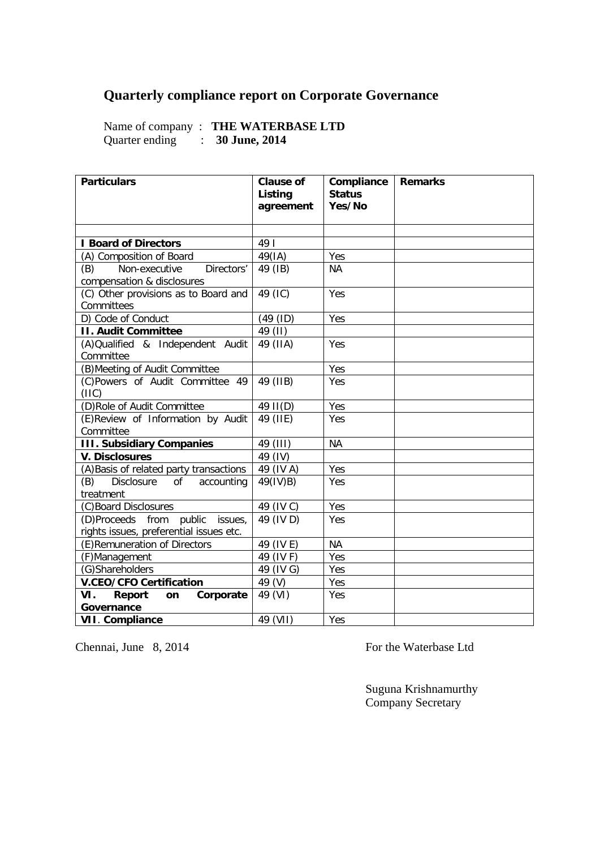## **Quarterly compliance report on Corporate Governance**

Name of company : **THE WATERBASE LTD** Quarter ending : **30 June, 2014**

| <b>Particulars</b>                                                         | <b>Clause of</b><br>Listing<br>agreement | Compliance<br><b>Status</b><br>Yes/No | <b>Remarks</b> |
|----------------------------------------------------------------------------|------------------------------------------|---------------------------------------|----------------|
|                                                                            |                                          |                                       |                |
| <b>I Board of Directors</b>                                                | 49                                       |                                       |                |
| (A) Composition of Board                                                   | 49(IA)                                   | Yes                                   |                |
| Non-executive<br>(B)<br>Directors'<br>compensation & disclosures           | 49 (IB)                                  | <b>NA</b>                             |                |
| (C) Other provisions as to Board and<br>Committees                         | 49 (IC)                                  | Yes                                   |                |
| D) Code of Conduct                                                         | (49 (ID)                                 | Yes                                   |                |
| <b>II. Audit Committee</b>                                                 | 49 (II)                                  |                                       |                |
| (A) Qualified & Independent Audit<br>Committee                             | 49 (IIA)                                 | Yes                                   |                |
| (B) Meeting of Audit Committee                                             |                                          | Yes                                   |                |
| (C)Powers of Audit Committee 49<br>(IIIC)                                  | 49 (IIB)                                 | Yes                                   |                |
| (D) Role of Audit Committee                                                | 49 II(D)                                 | Yes                                   |                |
| (E)Review of Information by Audit<br>Committee                             | 49 (IIE)                                 | Yes                                   |                |
| <b>III. Subsidiary Companies</b>                                           | 49 (III)                                 | <b>NA</b>                             |                |
| <b>V. Disclosures</b>                                                      | 49 (IV)                                  |                                       |                |
| (A) Basis of related party transactions                                    | 49 (IV A)                                | Yes                                   |                |
| (B)<br>Disclosure<br>accounting<br>of<br>treatment                         | 49(IV)B)                                 | Yes                                   |                |
| (C)Board Disclosures                                                       | 49 (IV C)                                | Yes                                   |                |
| (D)Proceeds from public issues,<br>rights issues, preferential issues etc. | 49 (IV D)                                | Yes                                   |                |
| (E) Remuneration of Directors                                              | 49 (IV E)                                | <b>NA</b>                             |                |
| (F)Management                                                              | 49 (IV F)                                | Yes                                   |                |
| (G)Shareholders                                                            | 49 (IV G)                                | Yes                                   |                |
| <b>V.CEO/CFO Certification</b>                                             | 49 (V)                                   | Yes                                   |                |
| VI.<br>Report<br>Corporate<br>on<br>Governance                             | 49 (VI)                                  | Yes                                   |                |
| <b>VII. Compliance</b>                                                     | 49 (VII)                                 | Yes                                   |                |

Chennai, June 8, 2014 For the Waterbase Ltd

Suguna Krishnamurthy Company Secretary